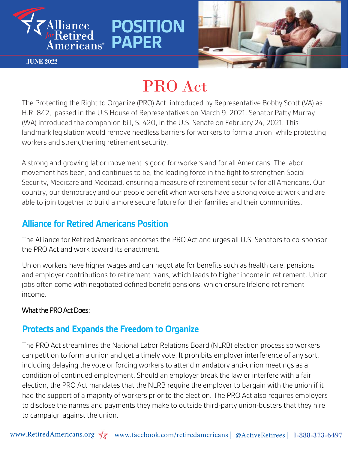

**JUNE 2022**

# PRO Act

**POSITION** 

**PAPER**

The Protecting the Right to Organize (PRO) Act, introduced by Representative Bobby Scott (VA) as H.R. 842, passed in the U.S House of Representatives on March 9, 2021. Senator Patty Murray (WA) introduced the companion bill, S. 420, in the U.S. Senate on February 24, 2021. This landmark legislation would remove needless barriers for workers to form a union, while protecting workers and strengthening retirement security.

A strong and growing labor movement is good for workers and for all Americans. The labor movement has been, and continues to be, the leading force in the fight to strengthen Social Security, Medicare and Medicaid, ensuring a measure of retirement security for all Americans. Our country, our democracy and our people benefit when workers have a strong voice at work and are able to join together to build a more secure future for their families and their communities.

### **Alliance for Retired Americans Position**

The Alliance for Retired Americans endorses the PRO Act and urges all U.S. Senators to co-sponsor the PRO Act and work toward its enactment.

Union workers have higher wages and can negotiate for benefits such as health care, pensions and employer contributions to retirement plans, which leads to higher income in retirement. Union jobs often come with negotiated defined benefit pensions, which ensure lifelong retirement income.

#### What the PRO Act Does:

#### **Protects and Expands the Freedom to Organize**

The PRO Act streamlines the National Labor Relations Board (NLRB) election process so workers can petition to form a union and get a timely vote. It prohibits employer interference of any sort, including delaying the vote or forcing workers to attend mandatory anti-union meetings as a condition of continued employment. Should an employer break the law or interfere with a fair election, the PRO Act mandates that the NLRB require the employer to bargain with the union if it had the support of a majority of workers prior to the election. The PRO Act also requires employers to disclose the names and payments they make to outside third-party union-busters that they hire to campaign against the union.